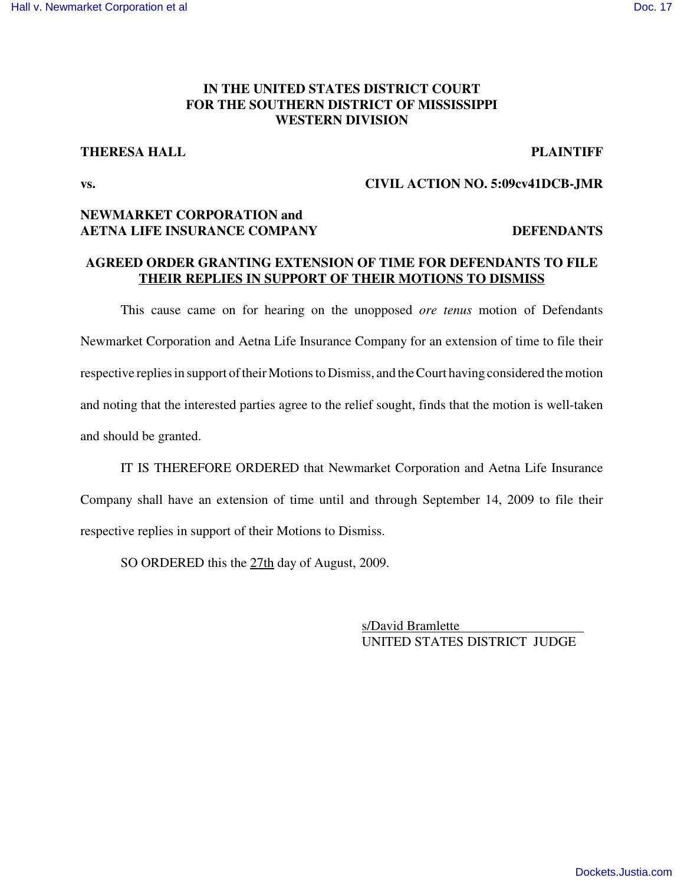# **IN THE UNITED STATES DISTRICT COURT FOR THE SOUTHERN DISTRICT OF MISSISSIPPI WESTERN DIVISION**

### **THERESA HALL PLAINTIFF**

# **vs. CIVIL ACTION NO. 5:09cv41DCB-JMR**

# **NEWMARKET CORPORATION and AETNA LIFE INSURANCE COMPANY DEFENDANTS**

## **AGREED ORDER GRANTING EXTENSION OF TIME FOR DEFENDANTS TO FILE THEIR REPLIES IN SUPPORT OF THEIR MOTIONS TO DISMISS**

This cause came on for hearing on the unopposed *ore tenus* motion of Defendants Newmarket Corporation and Aetna Life Insurance Company for an extension of time to file their respective replies in support of their Motions to Dismiss, and the Court having considered the motion and noting that the interested parties agree to the relief sought, finds that the motion is well-taken and should be granted.

IT IS THEREFORE ORDERED that Newmarket Corporation and Aetna Life Insurance Company shall have an extension of time until and through September 14, 2009 to file their respective replies in support of their Motions to Dismiss.

SO ORDERED this the 27th day of August, 2009.

s/David Bramlette UNITED STATES DISTRICT JUDGE